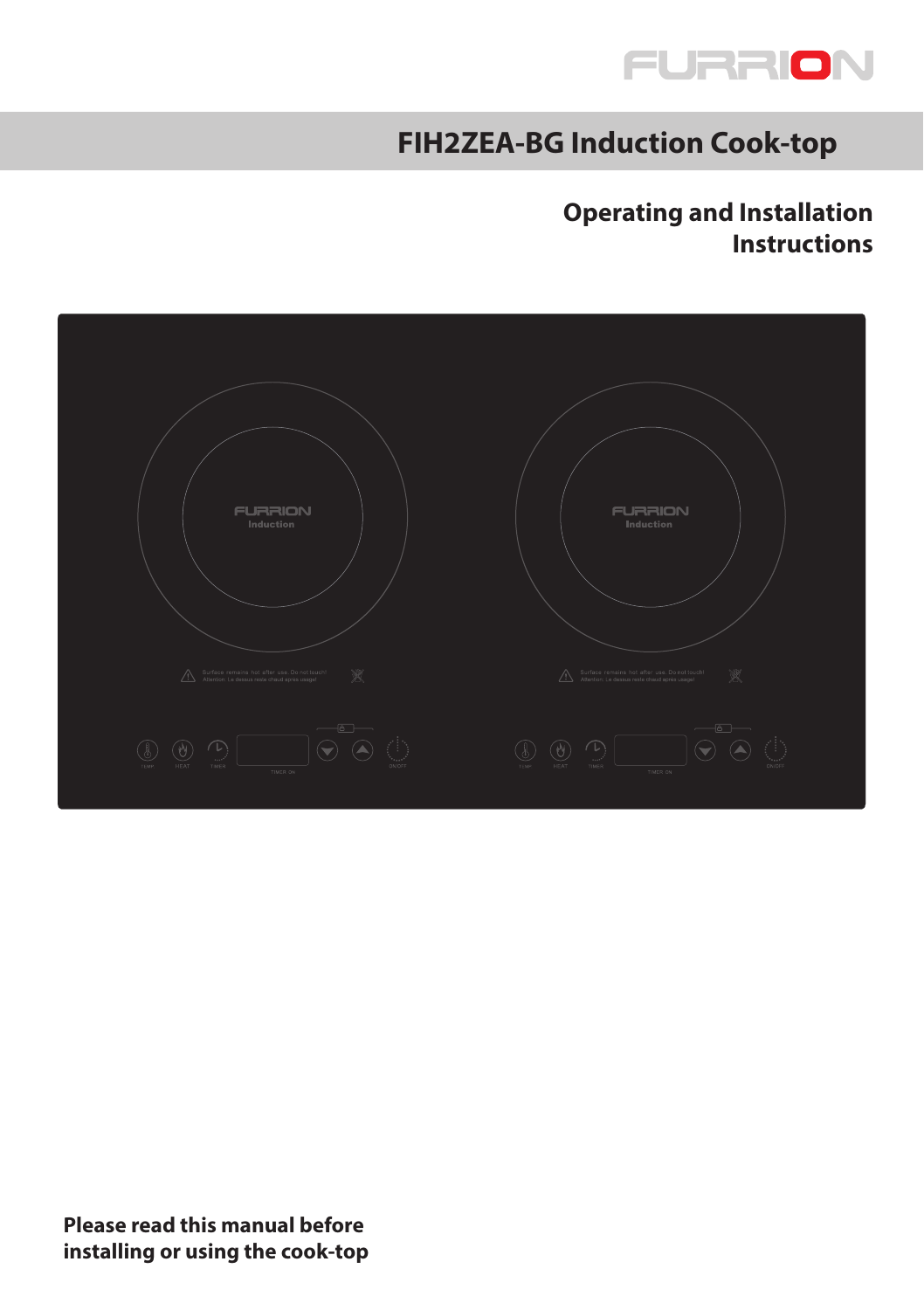

# **FIH2ZEA-BG Induction Cook-top**

## **Operating and Installation Instructions**

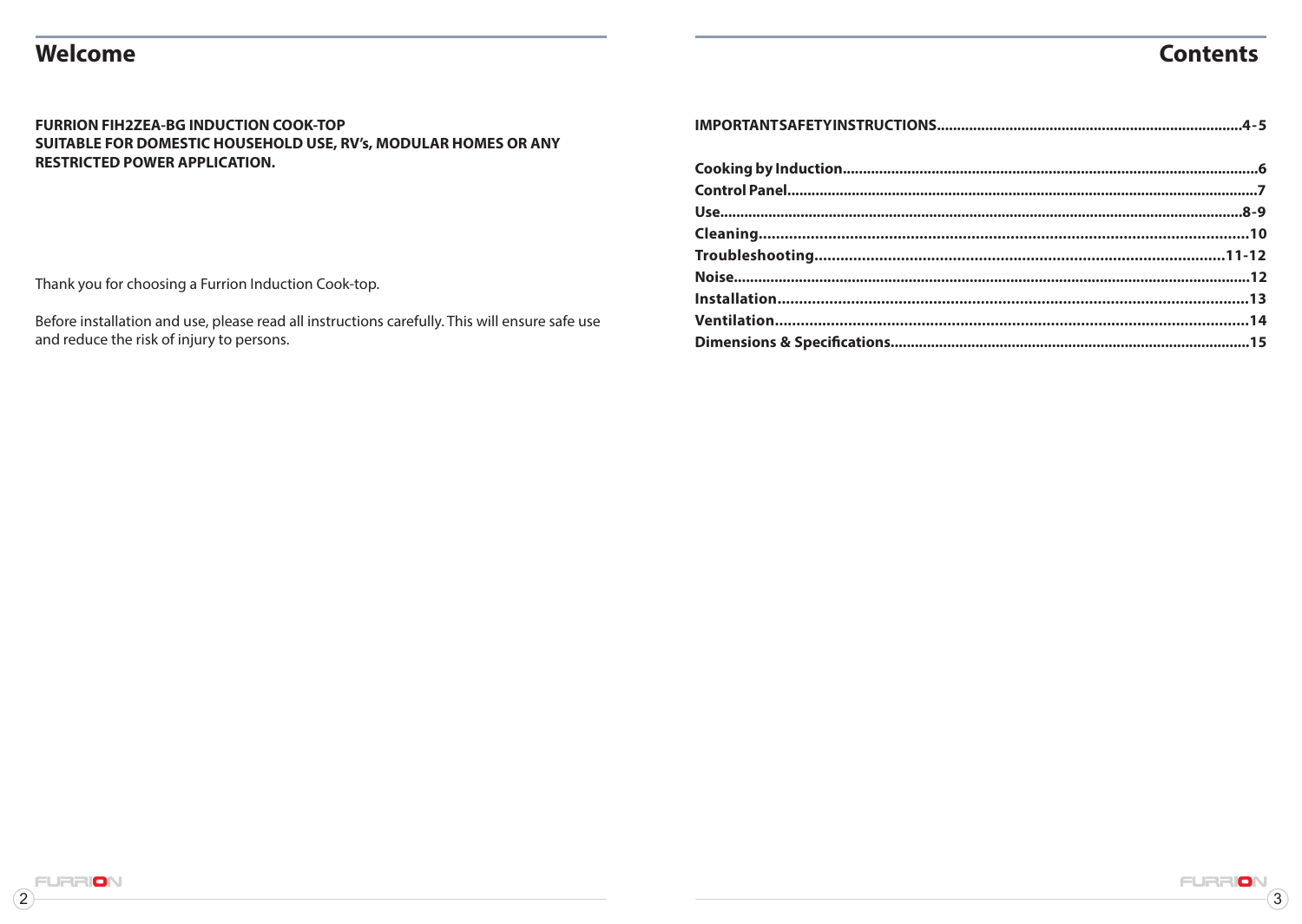# Welcome

# **Contents**

FURR

 $\overline{3}$ 

#### **FURRION FIH2ZEA-BG INDUCTION COOK-TOP** SUITABLE FOR DOMESTIC HOUSEHOLD USE, RV's, MODULAR HOMES OR ANY **RESTRICTED POWER APPLICATION.**

Thank you for choosing a Furrion Induction Cook-top.

Before installation and use, please read all instructions carefully. This will ensure safe use and reduce the risk of injury to persons.

 $\mathbf{2}$ 

ION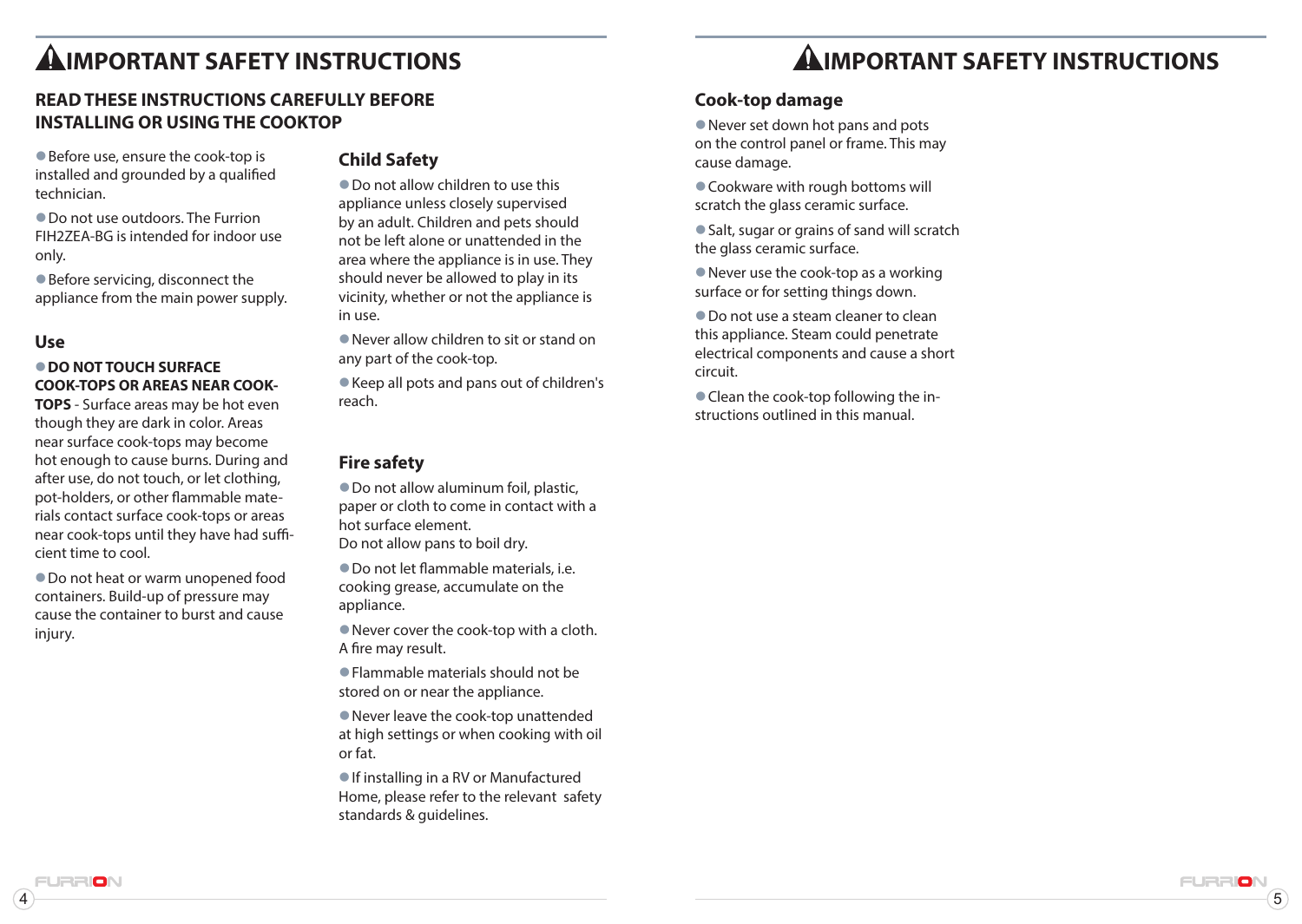# **AIMPORTANT SAFFTY INSTRUCTIONS**

## **READ THESE INSTRUCTIONS CAREFULLY BEFORE INSTALLING OR USING THE COOKTOP**

● Before use, ensure the cook-top is installed and grounded by a qualified technician.

 $\bullet$  Do not use outdoors. The Furrion FIH2ZEA-BG is intended for indoor use only.

 $\bullet$  Before servicing, disconnect the appliance from the main power supply.

### **Use**

### $\bullet$  **DO NOT TOUCH SURFACE COOK-TOPS OR AREAS NEAR COOK-**

**TOPS** - Surface areas may be hot even though they are dark in color. Areas near surface cook-tops may become hot enough to cause burns. During and after use, do not touch, or let clothing, pot-holders, or other flammable materials contact surface cook-tops or areas near cook-tops until they have had sufficient time to cool.

 $\bullet$  Do not heat or warm unopened food containers. Build-up of pressure may cause the container to burst and cause injury.

### **Child Safety**

 $\bullet$  Do not allow children to use this appliance unless closely supervised by an adult. Children and pets should not be left alone or unattended in the area where the appliance is in use. They should never be allowed to play in its vicinity, whether or not the appliance is in use.

 $\bullet$  Never allow children to sit or stand on any part of the cook-top.

 $\bullet$  Keep all pots and pans out of children's reach.

### **Fire safety**

 $\bullet$  Do not allow aluminum foil, plastic, paper or cloth to come in contact with a hot surface element. Do not allow pans to boil dry.

zDo not let flammable materials, i.e. cooking grease, accumulate on the appliance.

 $\bullet$  Never cover the cook-top with a cloth. A fire may result.

 $\bullet$  Flammable materials should not be stored on or near the appliance.

 $\bullet$  Never leave the cook-top unattended at high settings or when cooking with oil or fat.

If installing in a RV or Manufactured Home, please refer to the relevant safety standards & guidelines.

 $\overline{4}$  ) and the contract of  $\overline{5}$  (5) and the contract of  $\overline{5}$ 

FURRIO

### **Cook-top damage**

 $\bullet$  Never set down hot pans and pots on the control panel or frame. This may cause damage.

● Cookware with rough bottoms will scratch the glass ceramic surface.

● Salt, sugar or grains of sand will scratch the glass ceramic surface.

 $\bullet$  Never use the cook-top as a working surface or for setting things down.

 $\bullet$  Do not use a steam cleaner to clean this appliance. Steam could penetrate electrical components and cause a short circuit.

 $\bullet$  Clean the cook-top following the instructions outlined in this manual.

**IRRION**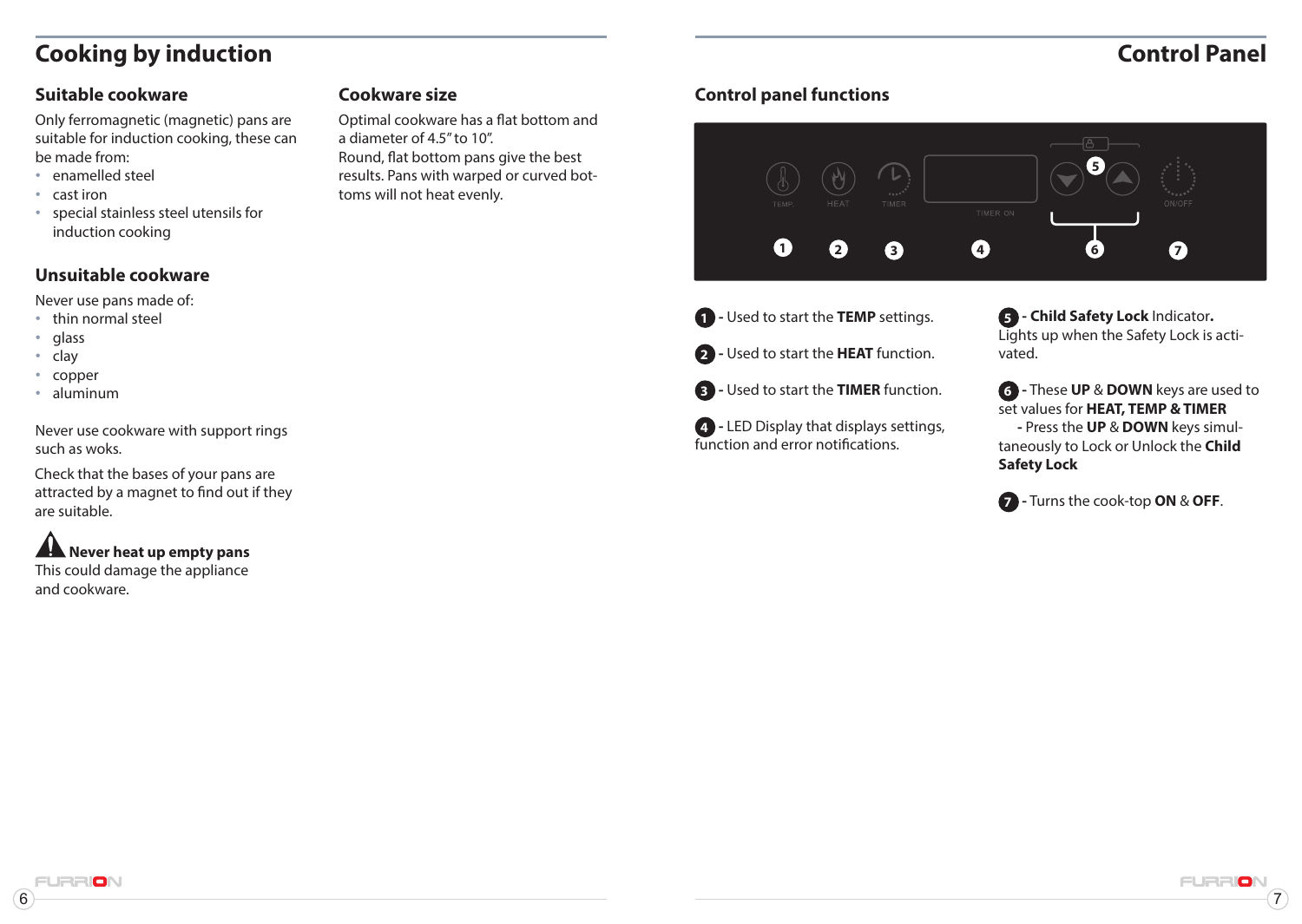# **Cooking by induction Control Panel**

## **Suitable cookware**

Only ferromagnetic (magnetic) pans are suitable for induction cooking, these can be made from:

- enamelled steel
- cast iron
- special stainless steel utensils for induction cooking

## **Unsuitable cookware**

Never use pans made of:

- thin normal steel
- glass
- clay
- copper
- aluminum

Never use cookware with support rings such as woks.

Check that the bases of your pans are attracted by a magnet to find out if they are suitable.

# **A** Never heat up empty pans

This could damage the appliance and cookware.

Optimal cookware has a flat bottom and a diameter of 4.5" to 10". Round, flat bottom pans give the best results. Pans with warped or curved bottoms will not heat evenly.

## **Cookware size Control panel functions**



**1 -** Used to start the **TEMP** settings. **2 -** Used to start the **HEAT** function.

**3 -** Used to start the **TIMER** function.

**4 -** LED Display that displays settings, function and error notifications.

**5 - Child Safety Lock** Indicator**.**  Lights up when the Safety Lock is activated.

**6 -** These **UP** & **DOWN** keys are used to set values for **HEAT, TEMP & TIMER -** Press the **UP** & **DOWN** keys simultaneously to Lock or Unlock the **Child Safety Lock**

**7 -** Turns the cook-top **ON** & **OFF**.

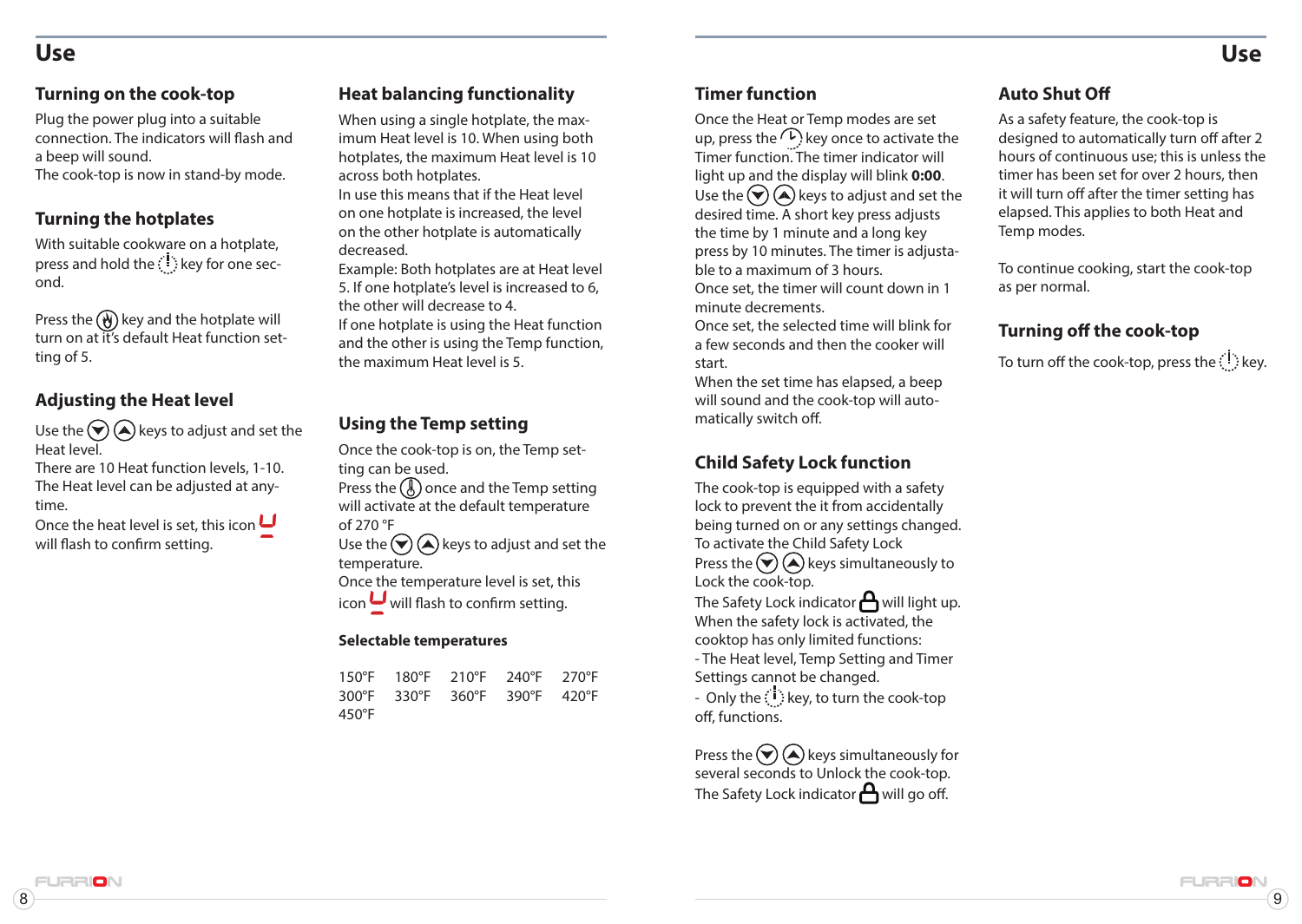# **Use Use**

Plug the power plug into a suitable connection. The indicators will flash and a beep will sound. The cook-top is now in stand-by mode.

### **Turning the hotplates**

With suitable cookware on a hotplate, press and hold the  $\langle \cdot | \cdot \rangle$  key for one second.

Press the  $\left(\overline{\mathbf{W}}\right)$  key and the hotplate will turn on at it's default Heat function setting of 5.

## **Adjusting the Heat level**

Use the  $\left(\bigtriangledown\right)$  (A) keys to adjust and set the Heat level.

There are 10 Heat function levels, 1-10. The Heat level can be adjusted at anytime.

Once the heat level is set, this icon  $\Box$ will flash to confirm setting.

## **Turning on the cook-top <b>Heat balancing functionality Timer function The Shut Off**

When using a single hotplate, the maximum Heat level is 10. When using both hotplates, the maximum Heat level is 10 across both hotplates.

In use this means that if the Heat level on one hotplate is increased, the level on the other hotplate is automatically decreased.

Example: Both hotplates are at Heat level 5. If one hotplate's level is increased to 6, the other will decrease to 4.

If one hotplate is using the Heat function and the other is using the Temp function, the maximum Heat level is 5.

#### **Using the Temp setting**

Once the cook-top is on, the Temp setting can be used. Press the  $\circledR$  once and the Temp setting

will activate at the default temperature of 270 °F

Use the  $\left(\bigtriangledown\right)$  (A) keys to adjust and set the temperature.

Once the temperature level is set, this

icon  $\bigcup$  will flash to confirm setting.

#### **Selectable temperatures**

|       | 150°F 180°F 210°F 240°F 270°F |  |  |
|-------|-------------------------------|--|--|
|       | 300°F 330°F 360°F 390°F 420°F |  |  |
| 450°F |                               |  |  |

Once the Heat or Temp modes are set up, press the  $\mathbb{Q}$  key once to activate the Timer function. The timer indicator will light up and the display will blink **0:00**. Use the  $\bigcirc$   $\bigcirc$  keys to adjust and set the desired time. A short key press adjusts the time by 1 minute and a long key press by 10 minutes. The timer is adjustable to a maximum of 3 hours. Once set, the timer will count down in 1 minute decrements.

Once set, the selected time will blink for a few seconds and then the cooker will start.

When the set time has elapsed, a beep will sound and the cook-top will automatically switch off.

### **Child Safety Lock function**

The cook-top is equipped with a safety lock to prevent the it from accidentally being turned on or any settings changed. To activate the Child Safety Lock Press the  $\left(\bigtriangledown\right)$  keys simultaneously to Lock the cook-top. The Safety Lock indicator  $\bigcap$  will light up. When the safety lock is activated, the cooktop has only limited functions: - The Heat level, Temp Setting and Timer Settings cannot be changed.

- Only the  $\langle \cdot \rangle$  key, to turn the cook-top off, functions.

Press the  $\left(\bigcirc \right)$  keys simultaneously for several seconds to Unlock the cook-top. The Safety Lock indicator  $\bigoplus$  will go off.

As a safety feature, the cook-top is designed to automatically turn off after 2 hours of continuous use; this is unless the timer has been set for over 2 hours, then it will turn off after the timer setting has elapsed. This applies to both Heat and Temp modes.

To continue cooking, start the cook-top as per normal.

## **Turning off the cook-top**

To turn off the cook-top, press the  $\langle \cdot \rangle$  key.

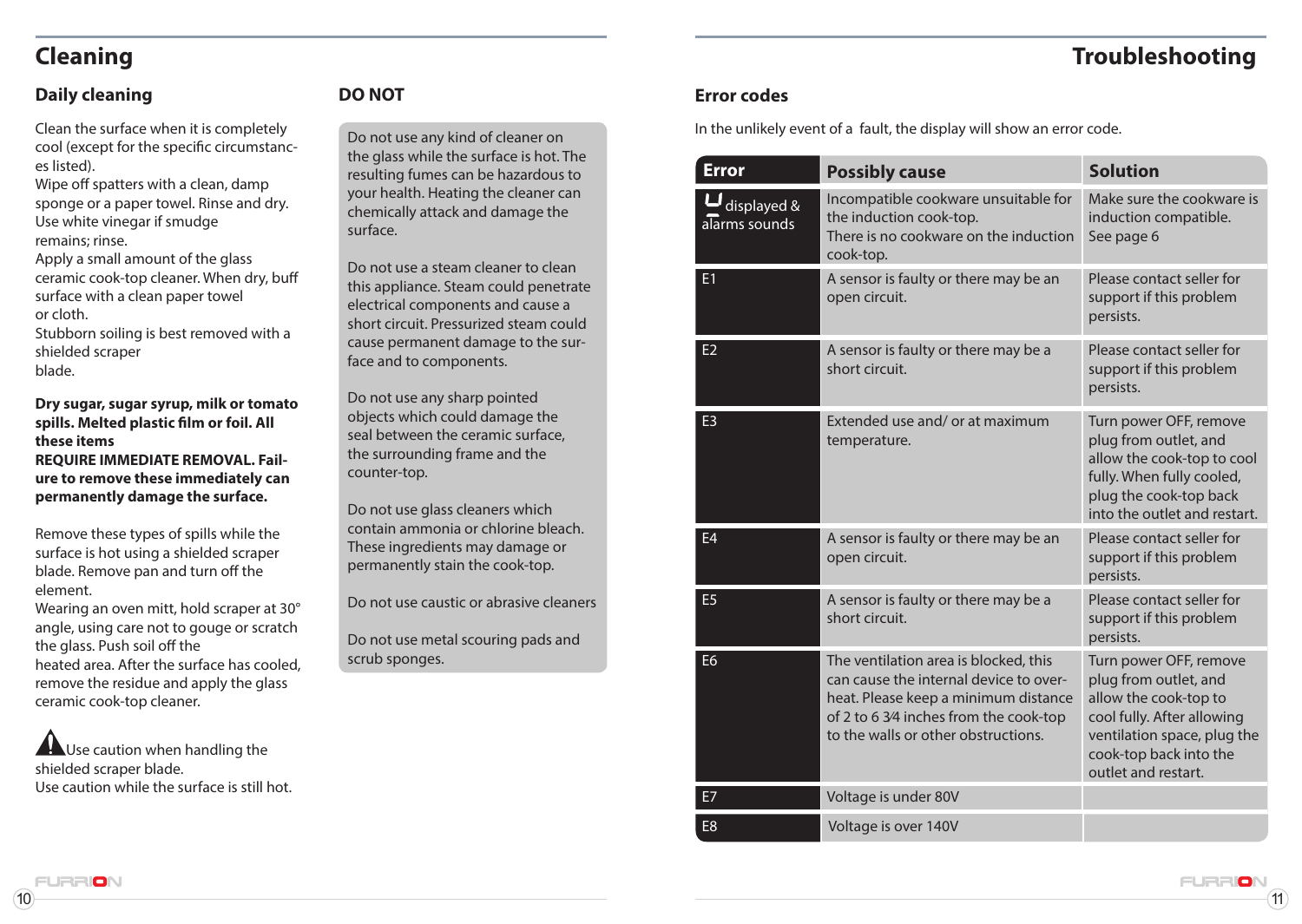# **Cleaning Troubleshooting**

# **Daily cleaning**

Clean the surface when it is completely cool (except for the specific circumstances listed).

Wipe off spatters with a clean, damp sponge or a paper towel. Rinse and dry. Use white vinegar if smudge remains; rinse.

Apply a small amount of the glass ceramic cook-top cleaner. When dry, buff surface with a clean paper towel or cloth.

Stubborn soiling is best removed with a shielded scraper blade.

**Dry sugar, sugar syrup, milk or tomato spills. Melted plastic film or foil. All these items REQUIRE IMMEDIATE REMOVAL. Failure to remove these immediately can permanently damage the surface.**

Remove these types of spills while the surface is hot using a shielded scraper blade. Remove pan and turn off the element.

Wearing an oven mitt, hold scraper at 30° angle, using care not to gouge or scratch the glass. Push soil off the heated area. After the surface has cooled, remove the residue and apply the glass ceramic cook-top cleaner.

A Use caution when handling the shielded scraper blade. Use caution while the surface is still hot.

# **DO NOT**

Do not use any kind of cleaner on the glass while the surface is hot. The resulting fumes can be hazardous to your health. Heating the cleaner can chemically attack and damage the surface.

Do not use a steam cleaner to clean this appliance. Steam could penetrate electrical components and cause a short circuit. Pressurized steam could cause permanent damage to the surface and to components.

Do not use any sharp pointed objects which could damage the seal between the ceramic surface, the surrounding frame and the counter-top.

Do not use glass cleaners which contain ammonia or chlorine bleach. These ingredients may damage or permanently stain the cook-top.

Do not use caustic or abrasive cleaners

Do not use metal scouring pads and scrub sponges.

## **Error codes**

In the unlikely event of a fault, the display will show an error code.

| <b>Error</b>                 | <b>Possibly cause</b>                                                                                                                                                                                    | <b>Solution</b>                                                                                                                                                                        |
|------------------------------|----------------------------------------------------------------------------------------------------------------------------------------------------------------------------------------------------------|----------------------------------------------------------------------------------------------------------------------------------------------------------------------------------------|
| displayed &<br>alarms sounds | Incompatible cookware unsuitable for<br>the induction cook-top.<br>There is no cookware on the induction<br>cook-top.                                                                                    | Make sure the cookware is<br>induction compatible.<br>See page 6                                                                                                                       |
| E1                           | A sensor is faulty or there may be an<br>open circuit.                                                                                                                                                   | Please contact seller for<br>support if this problem<br>persists.                                                                                                                      |
| E <sub>2</sub>               | A sensor is faulty or there may be a<br>short circuit.                                                                                                                                                   | Please contact seller for<br>support if this problem<br>persists.                                                                                                                      |
| E <sub>3</sub>               | Extended use and/ or at maximum<br>temperature.                                                                                                                                                          | Turn power OFF, remove<br>plug from outlet, and<br>allow the cook-top to cool<br>fully. When fully cooled,<br>plug the cook-top back<br>into the outlet and restart.                   |
| E <sub>4</sub>               | A sensor is faulty or there may be an<br>open circuit.                                                                                                                                                   | Please contact seller for<br>support if this problem<br>persists.                                                                                                                      |
| E <sub>5</sub>               | A sensor is faulty or there may be a<br>short circuit.                                                                                                                                                   | Please contact seller for<br>support if this problem<br>persists.                                                                                                                      |
| E <sub>6</sub>               | The ventilation area is blocked, this<br>can cause the internal device to over-<br>heat. Please keep a minimum distance<br>of 2 to 6 3/4 inches from the cook-top<br>to the walls or other obstructions. | Turn power OFF, remove<br>plug from outlet, and<br>allow the cook-top to<br>cool fully. After allowing<br>ventilation space, plug the<br>cook-top back into the<br>outlet and restart. |
| E7                           | Voltage is under 80V                                                                                                                                                                                     |                                                                                                                                                                                        |
| E <sub>8</sub>               | Voltage is over 140V                                                                                                                                                                                     |                                                                                                                                                                                        |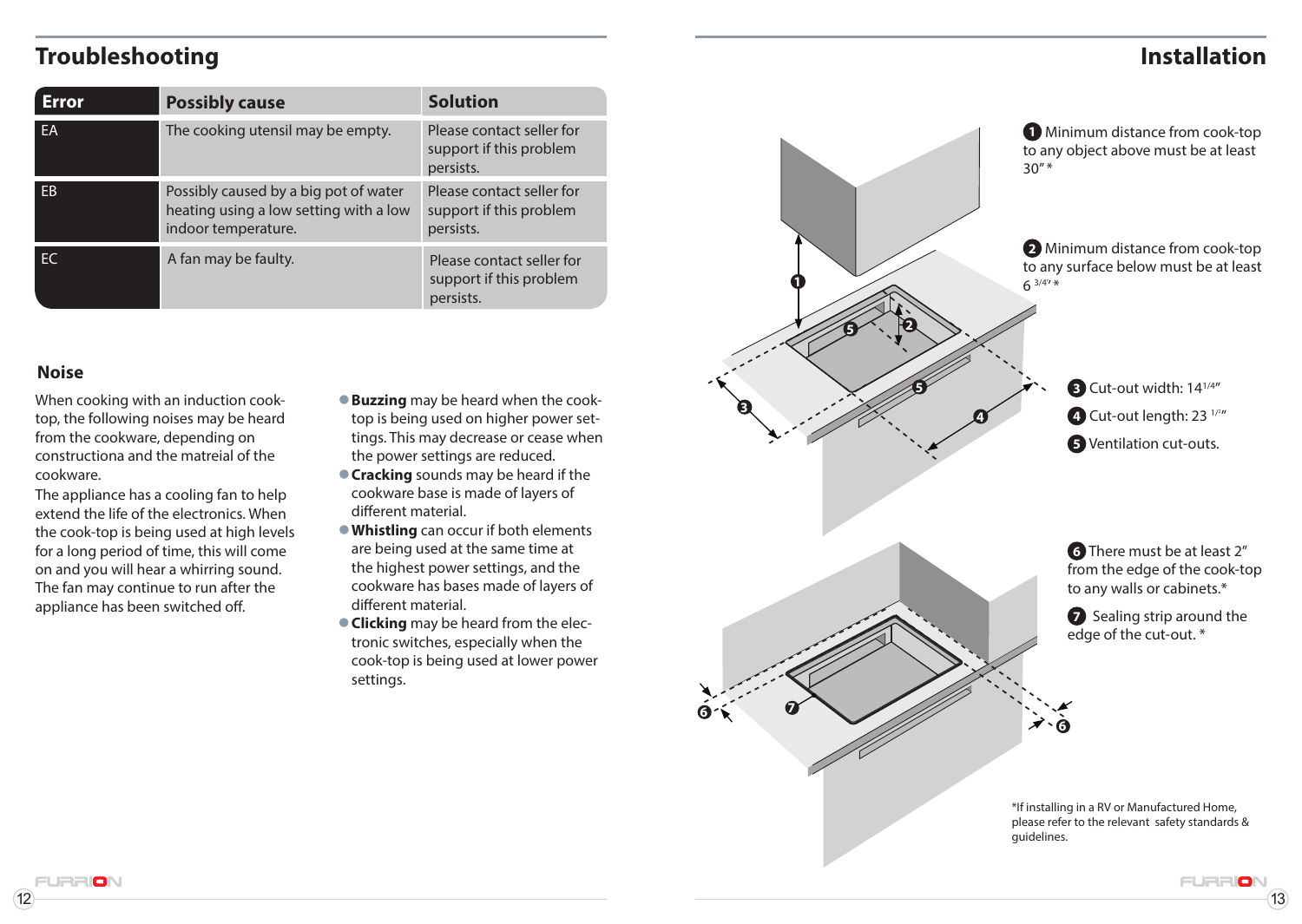# **Troubleshooting Installation**

| Error          | <b>Possibly cause</b>                                                                                  | <b>Solution</b>                                                   |
|----------------|--------------------------------------------------------------------------------------------------------|-------------------------------------------------------------------|
| <b>FA</b>      | The cooking utensil may be empty.                                                                      | Please contact seller for<br>support if this problem<br>persists. |
| F <sub>B</sub> | Possibly caused by a big pot of water<br>heating using a low setting with a low<br>indoor temperature. | Please contact seller for<br>support if this problem<br>persists. |
| FC.            | A fan may be faulty.                                                                                   | Please contact seller for<br>support if this problem<br>persists. |

### **Noise**

When cooking with an induction cooktop, the following noises may be heard from the cookware, depending on constructiona and the matreial of the cookware.

The appliance has a cooling fan to help extend the life of the electronics. When the cook-top is being used at high levels for a long period of time, this will come on and you will hear a whirring sound. The fan may continue to run after the appliance has been switched off.

**ICIN** 

- **Buzzing** may be heard when the cooktop is being used on higher power settings. This may decrease or cease when the power settings are reduced.
- **Cracking** sounds may be heard if the cookware base is made of layers of different material.
- **Whistling** can occur if both elements are being used at the same time at the highest power settings, and the cookware has bases made of layers of different material.
- **Clicking** may be heard from the electronic switches, especially when the cook-top is being used at lower power settings.

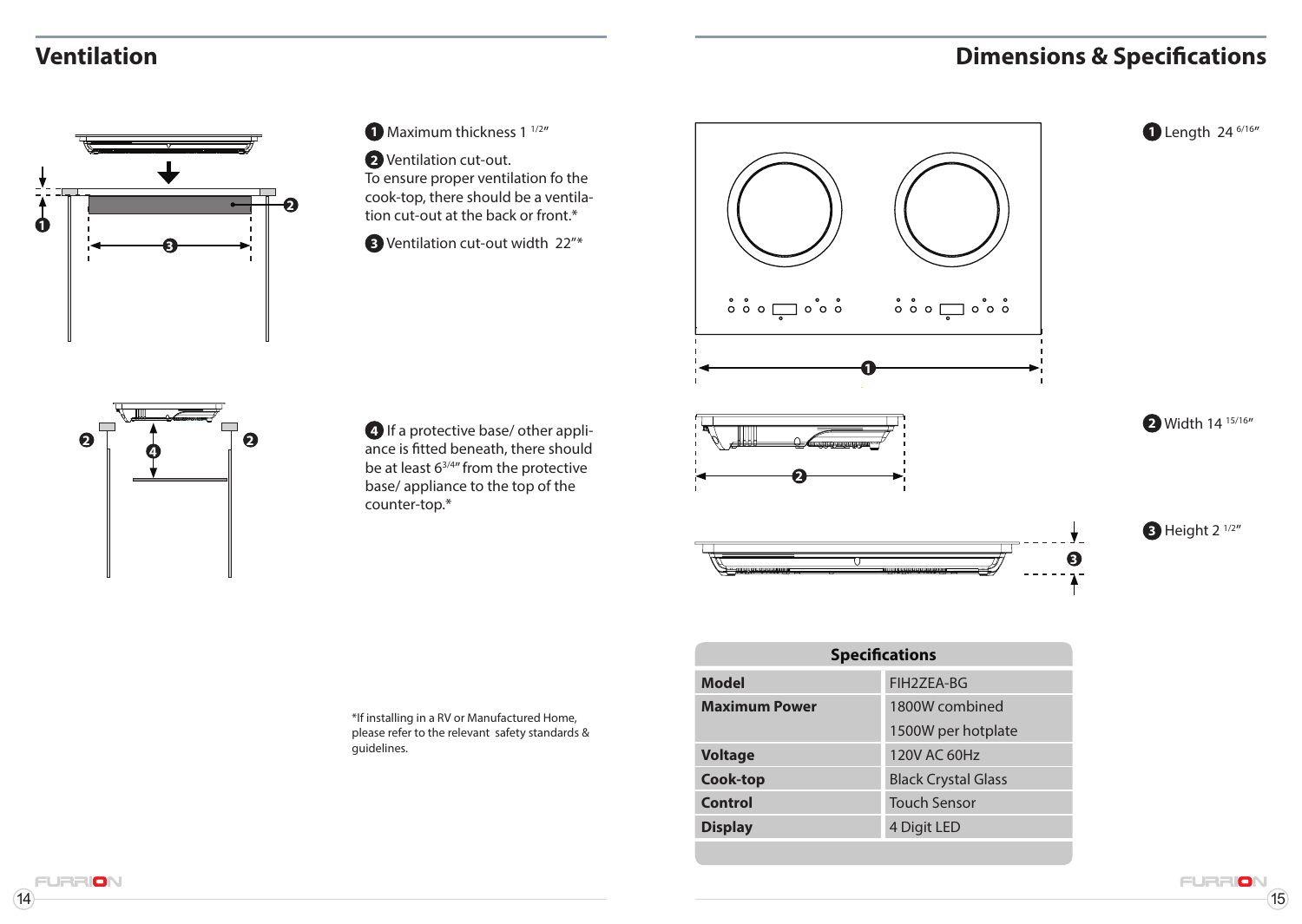# **Dimensions & Specifications**

# **Ventilation**





**2** Ventilation cut-out. To ensure proper ventilation fo the cook-top, there should be a ventilation cut-out at the back or front.\*

**3** Ventilation cut-out width 22"\*



**2** 

**2** Width 14 15/16"

**3** Height 2  $\frac{1}{2}$ 

**3**

**1** Length 24 <sup>6/16</sup>



**4** If a protective base/ other appliance is fitted beneath, there should be at least 63/4" from the protective base/ appliance to the top of the counter-top.\*

\*If installing in a RV or Manufactured Home, please refer to the relevant safety standards & guidelines.

| <b>Specifications</b> |                            |  |
|-----------------------|----------------------------|--|
| <b>Model</b>          | FIH2ZEA-BG                 |  |
| <b>Maximum Power</b>  | 1800W combined             |  |
|                       | 1500W per hotplate         |  |
| <b>Voltage</b>        | 120V AC 60Hz               |  |
| Cook-top              | <b>Black Crystal Glass</b> |  |
| Control               | <b>Touch Sensor</b>        |  |
| <b>Display</b>        | 4 Digit LED                |  |